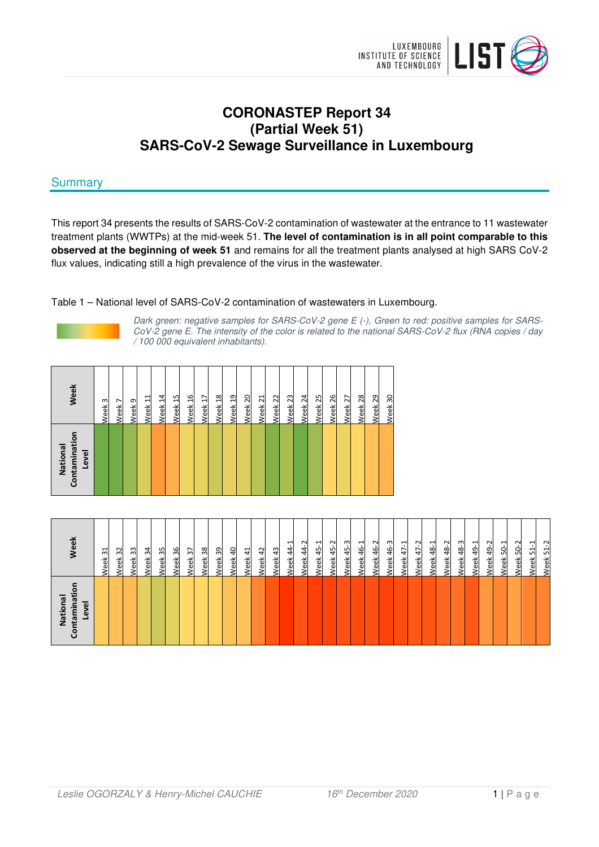

# **CORONASTEP Report 34 (Partial Week 51) SARS-CoV-2 Sewage Surveillance in Luxembourg**

# **Summary**

This report 34 presents the results of SARS-CoV-2 contamination of wastewater at the entrance to 11 wastewater treatment plants (WWTPs) at the mid-week 51. **The level of contamination is in all point comparable to this observed at the beginning of week 51** and remains for all the treatment plants analysed at high SARS CoV-2 flux values, indicating still a high prevalence of the virus in the wastewater.

Table 1 – National level of SARS-CoV-2 contamination of wastewaters in Luxembourg.



Dark green: negative samples for SARS-CoV-2 gene E (-), Green to red: positive samples for SARS-CoV-2 gene E. The intensity of the color is related to the national SARS-CoV-2 flux (RNA copies / day / 100 000 equivalent inhabitants).

| Contamination<br>National<br>Level | Week<br>Week 14<br>Week 11<br>Week 9<br>$\mathbf{\omega}$<br>Week <sub>7</sub><br>Week          |
|------------------------------------|-------------------------------------------------------------------------------------------------|
|                                    | Week 18<br>Week 16<br>Week 19<br>Week <sub>20</sub><br>Week <sub>15</sub><br>Week 17            |
|                                    | Week <sub>23</sub><br>Week 24<br>Week <sub>22</sub><br>Week <sub>25</sub><br>Week <sub>21</sub> |
|                                    | Week 28<br>Week 26<br>Week <sub>27</sub><br>Week <sub>29</sub><br>Week 30                       |

| ntaminati<br>National<br>Level<br>ũ | <b>Week</b>                     |
|-------------------------------------|---------------------------------|
|                                     | Neek 31                         |
|                                     | Week 32                         |
|                                     | Week <sub>33</sub>              |
|                                     | 34<br>Week                      |
|                                     | 35<br>/eek                      |
|                                     | 36<br>/eek                      |
|                                     | $\overline{37}$<br>Week         |
|                                     | Week <sub>38</sub>              |
|                                     | Week <sub>39</sub>              |
|                                     | Week 40                         |
|                                     | Week 41                         |
|                                     | Week 42                         |
|                                     | 43<br>Week                      |
|                                     | ↽<br>44<br>eek                  |
|                                     | $\sim$<br>$\overline{4}$<br>eek |
|                                     | ᅱ<br>45<br>/eek                 |
|                                     | Week 45-2                       |
|                                     | Week 45-3                       |
|                                     | Week 46-1                       |
|                                     | <b>Neek 46-2</b>                |
|                                     | 46-3<br>Week.                   |
|                                     | $47 - 1$<br><b>Week</b>         |
|                                     | Ņ<br>47<br><u>leek</u>          |
|                                     | ᅱ<br>$\frac{8}{3}$<br>/eek      |
|                                     | Week 48-2                       |
|                                     | Week 48-3                       |
|                                     | Week 49-1                       |
|                                     | Week 49-2                       |
|                                     | Week 50-1                       |
|                                     | Week 50-2                       |
|                                     | ᅻ<br>S.<br>Week                 |
|                                     | Ņ<br>$\overline{5}$<br>Week     |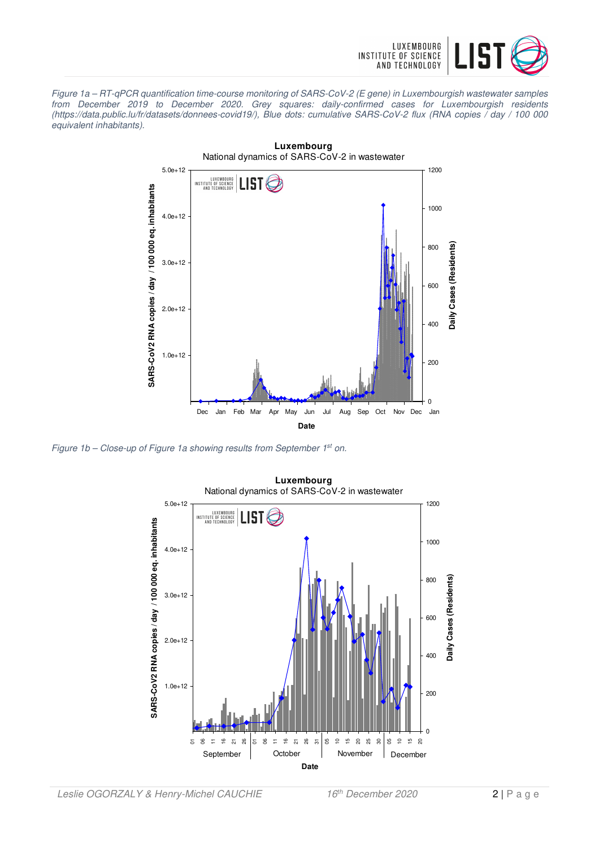

Figure 1a – RT-qPCR quantification time-course monitoring of SARS-CoV-2 (E gene) in Luxembourgish wastewater samples from December 2019 to December 2020. Grey squares: daily-confirmed cases for Luxembourgish residents (https://data.public.lu/fr/datasets/donnees-covid19/), Blue dots: cumulative SARS-CoV-2 flux (RNA copies / day / 100 000 equivalent inhabitants).



Figure 1b – Close-up of Figure 1a showing results from September 1<sup>st</sup> on.

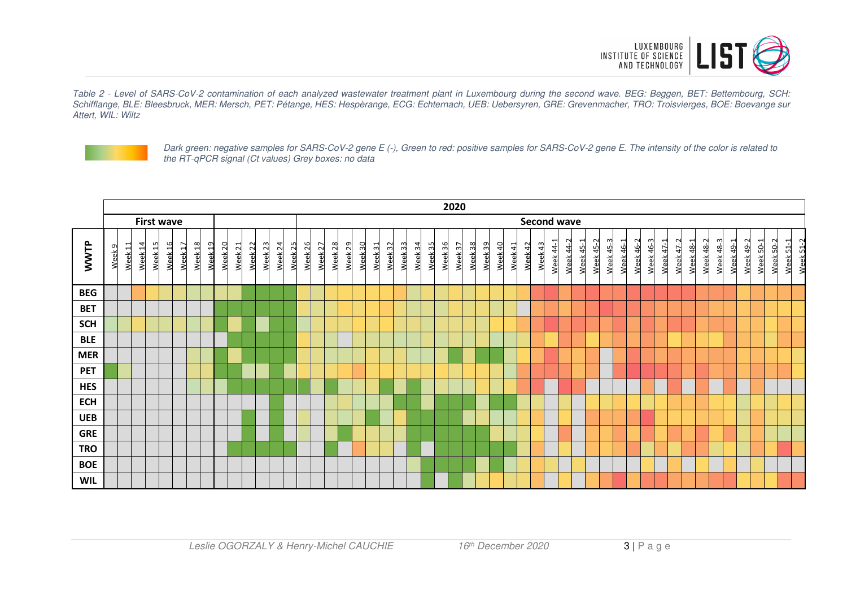

Table 2 - Level of SARS-CoV-2 contamination of each analyzed wastewater treatment plant in Luxembourg during the second wave. BEG: Beggen, BET: Bettembourg, SCH: Schifflange, BLE: Bleesbruck, MER: Mersch, PET: Pétange, HES: Hespèrange, ECG: Echternach, UEB: Uebersyren, GRE: Grevenmacher, TRO: Troisvierges, BOE: Boevange sur Attert, WIL: Wiltz



Dark green: negative samples for SARS-CoV-2 gene E (-), Green to red: positive samples for SARS-CoV-2 gene E. The intensity of the color is related to the RT-qPCR signal (Ct values) Grey boxes: no data

|            | 2020              |         |         |                    |                    |         |         |         |         |                    |         |         |                               |                    |         |         |         |         |         |         |         |         |         |         |         |         |         |         |         |         |                        |           |                  |                  |           |           |           |           |           |                  |           |           |           |                        |           |           |           |
|------------|-------------------|---------|---------|--------------------|--------------------|---------|---------|---------|---------|--------------------|---------|---------|-------------------------------|--------------------|---------|---------|---------|---------|---------|---------|---------|---------|---------|---------|---------|---------|---------|---------|---------|---------|------------------------|-----------|------------------|------------------|-----------|-----------|-----------|-----------|-----------|------------------|-----------|-----------|-----------|------------------------|-----------|-----------|-----------|
|            | <b>First wave</b> |         |         |                    |                    |         |         |         |         |                    |         |         |                               |                    |         |         |         |         |         |         |         |         |         |         |         |         |         |         |         |         | <b>Second wave</b>     |           |                  |                  |           |           |           |           |           |                  |           |           |           |                        |           |           |           |
| WWTP       | Week <sub>9</sub> | Week 11 | Week 14 | Week 16<br>Week 15 | Week <sub>17</sub> | Week 18 | Week 19 | Week 20 | Week 21 | Week <sub>22</sub> | Week 23 | Week 24 | Week 26<br>Week <sub>25</sub> | Week <sub>27</sub> | Week 28 | Week 29 | Week 30 | Week 31 | Week 32 | Week 33 | Week 34 | Week 35 | Week 36 | Week 37 | Week 38 | Week 39 | Week 40 | Week 41 | Week 42 | Week 43 | Week 44-2<br>Week 44-1 | Week 45-1 | <b>Week 45-2</b> | <b>Week 45-3</b> | Week 46-1 | Week 46-2 | Week 46-3 | Week 47-1 | Week 47-2 | <b>Week 48-1</b> | Week 48-2 | Week 48-3 | Week 49-1 | Week 49-2<br>Week 50-1 | Week 50-2 | Week 51-1 | Week 51-2 |
| <b>BEG</b> |                   |         |         |                    |                    |         |         |         |         |                    |         |         |                               |                    |         |         |         |         |         |         |         |         |         |         |         |         |         |         |         |         |                        |           |                  |                  |           |           |           |           |           |                  |           |           |           |                        |           |           |           |
| <b>BET</b> |                   |         |         |                    |                    |         |         |         |         |                    |         |         |                               |                    |         |         |         |         |         |         |         |         |         |         |         |         |         |         |         |         |                        |           |                  |                  |           |           |           |           |           |                  |           |           |           |                        |           |           |           |
| <b>SCH</b> |                   |         |         |                    |                    |         |         |         |         |                    |         |         |                               |                    |         |         |         |         |         |         |         |         |         |         |         |         |         |         |         |         |                        |           |                  |                  |           |           |           |           |           |                  |           |           |           |                        |           |           |           |
| <b>BLE</b> |                   |         |         |                    |                    |         |         |         |         |                    |         |         |                               |                    |         |         |         |         |         |         |         |         |         |         |         |         |         |         |         |         |                        |           |                  |                  |           |           |           |           |           |                  |           |           |           |                        |           |           |           |
| <b>MER</b> |                   |         |         |                    |                    |         |         |         |         |                    |         |         |                               |                    |         |         |         |         |         |         |         |         |         |         |         |         |         |         |         |         |                        |           |                  |                  |           |           |           |           |           |                  |           |           |           |                        |           |           |           |
| <b>PET</b> |                   |         |         |                    |                    |         |         |         |         |                    |         |         |                               |                    |         |         |         |         |         |         |         |         |         |         |         |         |         |         |         |         |                        |           |                  |                  |           |           |           |           |           |                  |           |           |           |                        |           |           |           |
| <b>HES</b> |                   |         |         |                    |                    |         |         |         |         |                    |         |         |                               |                    |         |         |         |         |         |         |         |         |         |         |         |         |         |         |         |         |                        |           |                  |                  |           |           |           |           |           |                  |           |           |           |                        |           |           |           |
| <b>ECH</b> |                   |         |         |                    |                    |         |         |         |         |                    |         |         |                               |                    |         |         |         |         |         |         |         |         |         |         |         |         |         |         |         |         |                        |           |                  |                  |           |           |           |           |           |                  |           |           |           |                        |           |           |           |
| <b>UEB</b> |                   |         |         |                    |                    |         |         |         |         |                    |         |         |                               |                    |         |         |         |         |         |         |         |         |         |         |         |         |         |         |         |         |                        |           |                  |                  |           |           |           |           |           |                  |           |           |           |                        |           |           |           |
| <b>GRE</b> |                   |         |         |                    |                    |         |         |         |         |                    |         |         |                               |                    |         |         |         |         |         |         |         |         |         |         |         |         |         |         |         |         |                        |           |                  |                  |           |           |           |           |           |                  |           |           |           |                        |           |           |           |
| <b>TRO</b> |                   |         |         |                    |                    |         |         |         |         |                    |         |         |                               |                    |         |         |         |         |         |         |         |         |         |         |         |         |         |         |         |         |                        |           |                  |                  |           |           |           |           |           |                  |           |           |           |                        |           |           |           |
| <b>BOE</b> |                   |         |         |                    |                    |         |         |         |         |                    |         |         |                               |                    |         |         |         |         |         |         |         |         |         |         |         |         |         |         |         |         |                        |           |                  |                  |           |           |           |           |           |                  |           |           |           |                        |           |           |           |
| <b>WIL</b> |                   |         |         |                    |                    |         |         |         |         |                    |         |         |                               |                    |         |         |         |         |         |         |         |         |         |         |         |         |         |         |         |         |                        |           |                  |                  |           |           |           |           |           |                  |           |           |           |                        |           |           |           |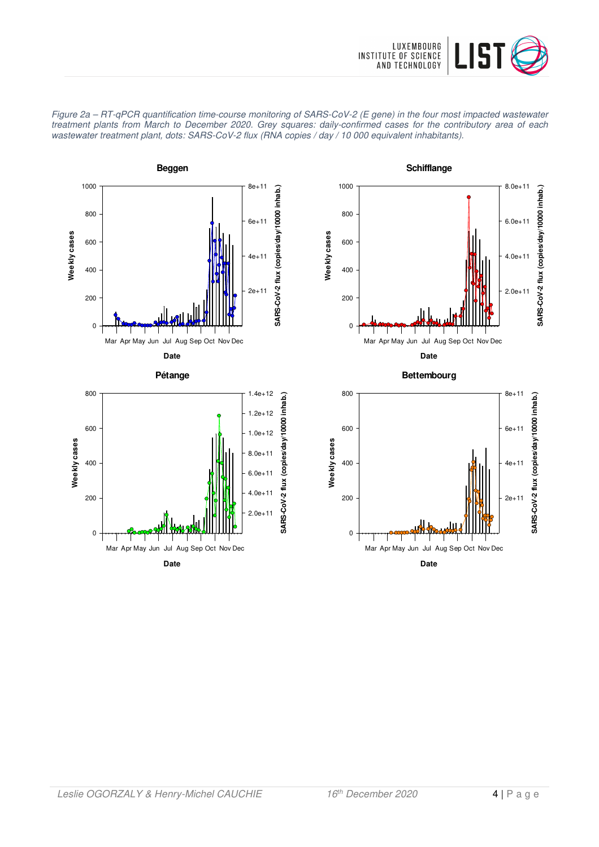





**Date** Mar Apr May Jun Jul Aug Sep Oct Nov Dec

2.0e+11

 $4.09 + 11$ 

 $\pmb{0}$ 

200

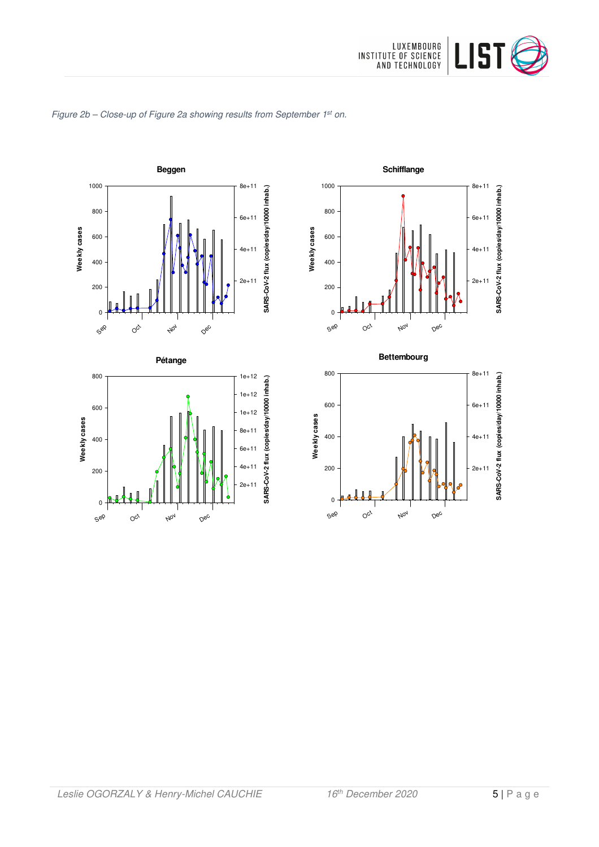

**Schifflange**

Nov

**Bettembourg**

Nov

Dec

Dec

**SARS-CoV-2 flux (copies/day/10000 inhab.)**

SARS-CoV-2 flux (copies/day/10000 inhab.)

**SARS-CoV-2 flux (copies/day/10000 inhab.)**

SARS-CoV-2 flux (copies/day/10000 inhab.)

2e+11

4e+11

6e+11

8e+11

2e+11

4e+11

6e+11

8e+11

Sep

Sep

0

200

400

600

800

**Weekly cases**

Weekly cases

 $O_{C_f}$ 

0

200

400

600

800

1000

**Weekly cases**

Weekly cases

 $O_{C_f}$ 



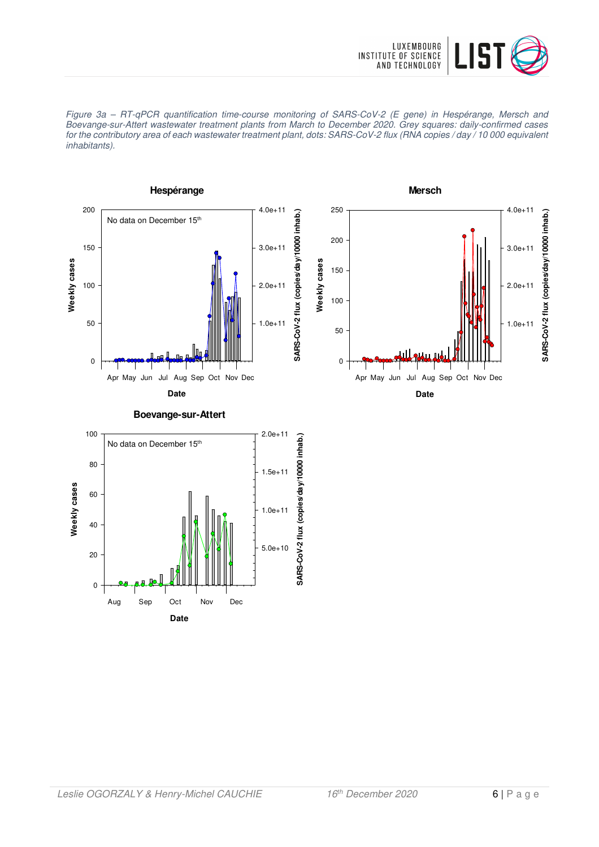





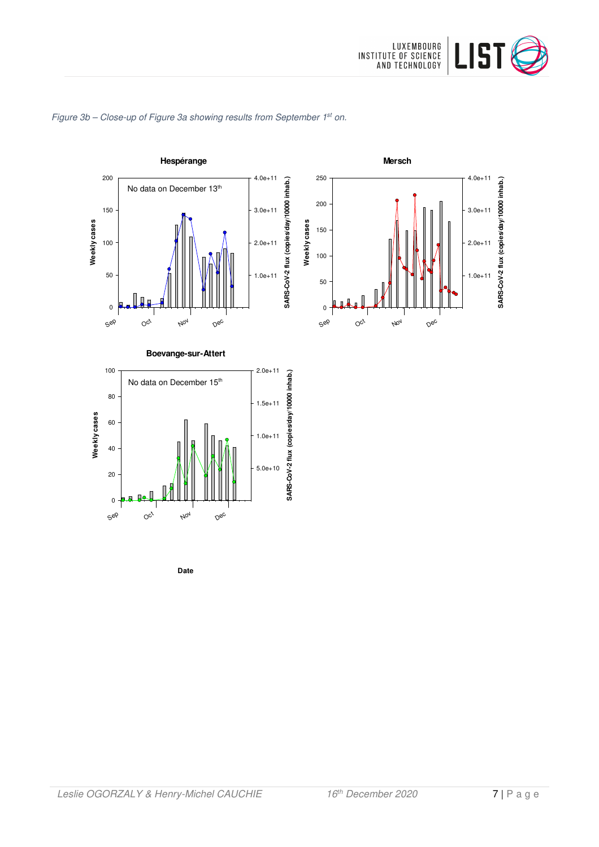





**Date**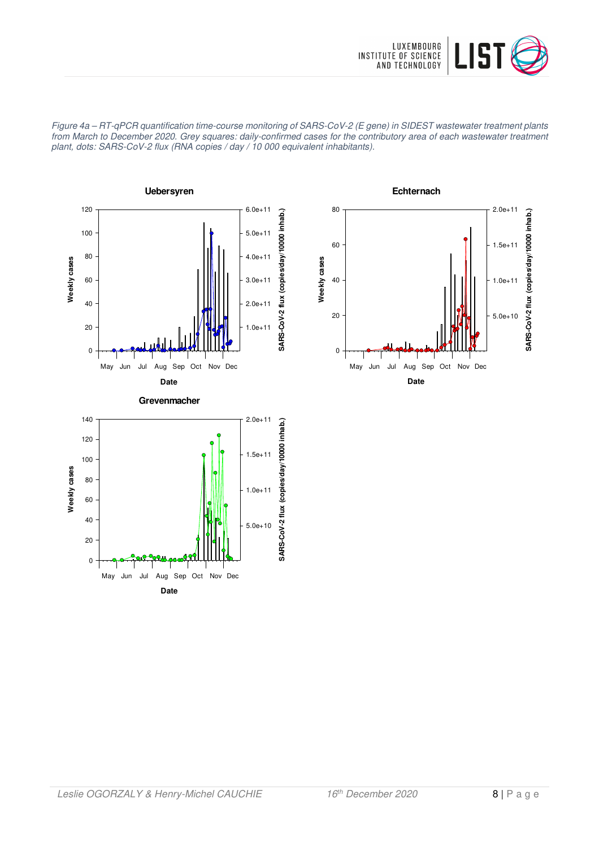

Figure 4a – RT-qPCR quantification time-course monitoring of SARS-CoV-2 (E gene) in SIDEST wastewater treatment plants from March to December 2020. Grey squares: daily-confirmed cases for the contributory area of each wastewater treatment plant, dots: SARS-CoV-2 flux (RNA copies / day / 10 000 equivalent inhabitants).



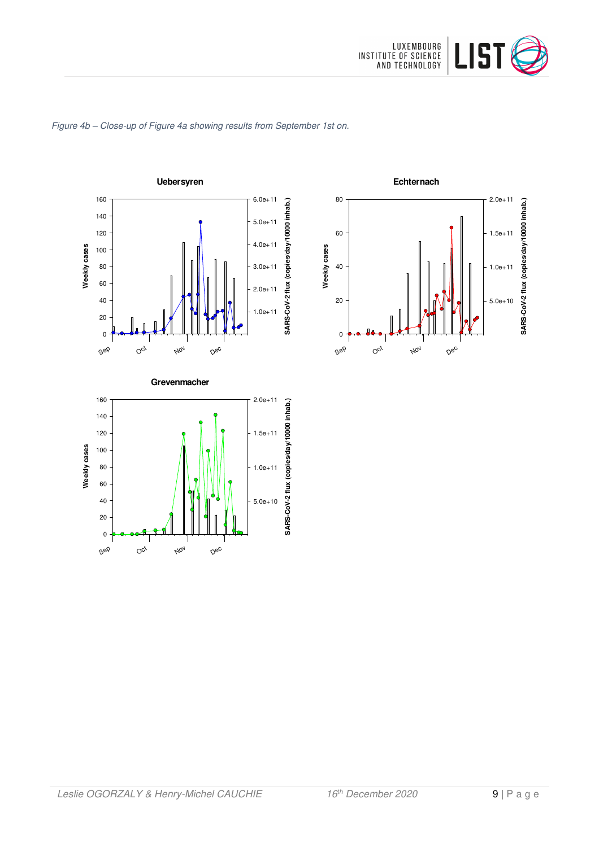

#### Figure 4b – Close-up of Figure 4a showing results from September 1st on.





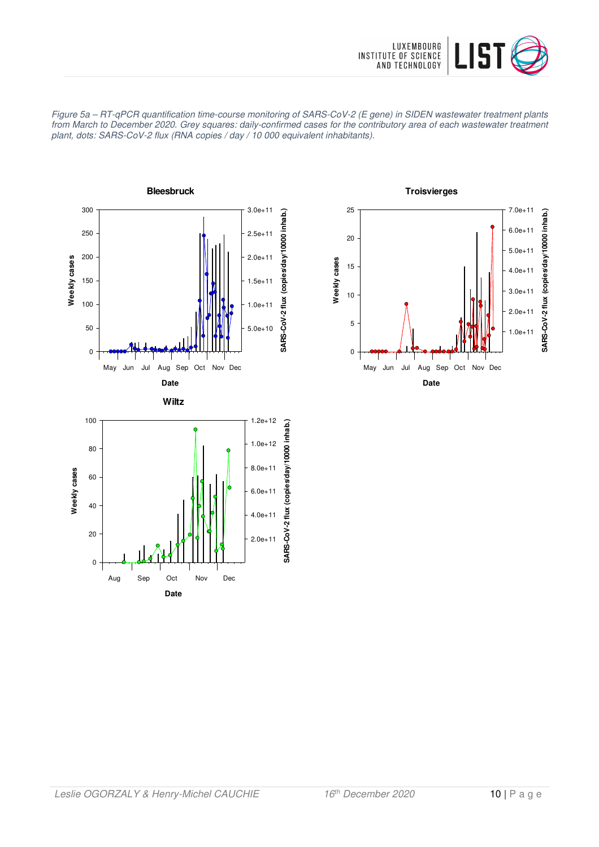





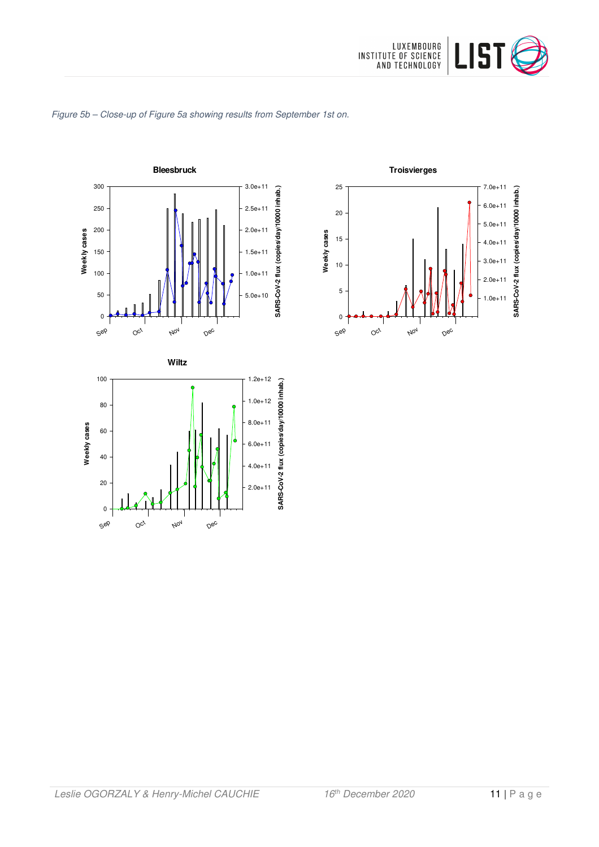





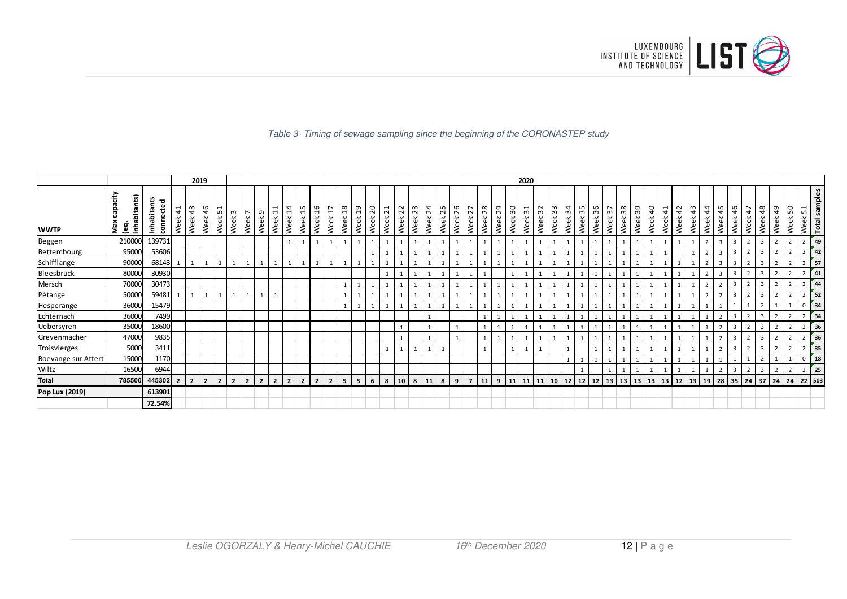

#### Table 3- Timing of sewage sampling since the beginning of the CORONASTEP study

|                     |                                                        |                          |                | 2019           |                          |                |                |                             |                                  |                       |                |                       |                        |                                |                |                        |                         |            |             |            |            |            |                |            |            |                                 | 2020                  |                       |                          |            |            |            |                |            |            |            |                        |            |                    |                |            |                |                |                |                |                                   |
|---------------------|--------------------------------------------------------|--------------------------|----------------|----------------|--------------------------|----------------|----------------|-----------------------------|----------------------------------|-----------------------|----------------|-----------------------|------------------------|--------------------------------|----------------|------------------------|-------------------------|------------|-------------|------------|------------|------------|----------------|------------|------------|---------------------------------|-----------------------|-----------------------|--------------------------|------------|------------|------------|----------------|------------|------------|------------|------------------------|------------|--------------------|----------------|------------|----------------|----------------|----------------|----------------|-----------------------------------|
| <b>WWTP</b>         | capacity<br>inhabitants)<br>Max<br>$\ddot{\mathsf{e}}$ | Inhabitants<br>connected | 41<br>Week     | 43<br>Week     | 46<br>51<br>Week<br>Week |                | ന<br>Week      | $\overline{ }$<br>ന<br>Week | $\overline{11}$<br>Week<br>Week  | $\frac{1}{4}$<br>Week | 15<br>Week     | $\frac{6}{2}$<br>Week | $\overline{1}$<br>Week | $\frac{8}{18}$<br>Week<br>Week | $\overline{5}$ | $\overline{c}$<br>Week | $\overline{21}$<br>Week | 22<br>Week | 23<br>Week  | 24<br>Week | 25<br>Week | 26<br>Week | 27<br>Week     | 28<br>Week | 29<br>Week | $\overline{\mathrm{s}}$<br>Week | $\frac{1}{2}$<br>Week | $\frac{2}{3}$<br>Week | 33<br>34<br>Week<br>Week | 35<br>Week | 36<br>Week | 57<br>Week | $38\,$<br>Week | 39<br>Week | 40<br>Week | 41<br>Week | $\overline{a}$<br>Week | 43<br>Week | $\ddot{4}$<br>Week | 45<br>Week     | 46<br>Week | 47<br>Week     | 48<br>Week     | 49<br>Week     | 50<br>Week     | Week 51<br>Total samples          |
| Beggen              | 210000                                                 | 139731                   |                |                |                          |                |                |                             |                                  |                       | 1              |                       | $\mathbf{1}$           |                                | $\overline{1}$ |                        |                         |            |             |            |            |            |                |            |            |                                 |                       |                       |                          |            |            |            |                |            |            |            |                        |            |                    | $\overline{3}$ |            |                | $\overline{3}$ |                | $\overline{2}$ | 49<br>$\overline{2}$              |
| Bettembourg         | 95000                                                  | 53606                    |                |                |                          |                |                |                             |                                  |                       |                |                       |                        |                                |                |                        |                         |            |             |            |            |            |                |            |            |                                 |                       |                       |                          |            |            |            |                |            |            |            |                        |            |                    |                |            |                |                |                |                | 42                                |
| Schifflange         | 90000                                                  | 68143                    |                |                |                          |                |                |                             |                                  |                       |                |                       | 1                      |                                |                |                        |                         |            |             |            |            |            |                |            |            |                                 |                       |                       |                          |            |            |            |                |            |            |            |                        |            |                    | $\overline{3}$ |            | $\overline{2}$ | $\overline{3}$ |                | $\mathcal{L}$  | $\frac{1}{57}$<br>$\overline{2}$  |
| Bleesbrück          | 80000                                                  | 30930                    |                |                |                          |                |                |                             |                                  |                       |                |                       |                        |                                |                |                        |                         |            |             |            |            |            |                |            |            |                                 |                       |                       |                          |            |            |            |                |            |            |            |                        |            |                    | 3              |            |                | $\overline{3}$ |                |                | 41                                |
| Mersch              | 70000                                                  | 30473                    |                |                |                          |                |                |                             |                                  |                       |                |                       |                        |                                |                |                        |                         |            |             |            |            |            |                |            |            |                                 |                       |                       |                          |            |            |            |                |            |            |            |                        |            |                    |                |            |                | 3              |                |                | 44                                |
| Pétange             | 50000                                                  | 59481                    |                |                |                          |                |                |                             |                                  |                       |                |                       |                        |                                |                |                        |                         |            |             |            |            |            |                |            |            |                                 |                       |                       |                          |            |            |            |                |            |            |            |                        |            |                    | $\mathcal{D}$  |            |                | $\overline{3}$ |                |                | 52                                |
| Hesperange          | 36000                                                  | 15479                    |                |                |                          |                |                |                             |                                  |                       |                |                       |                        |                                |                |                        |                         |            |             |            |            |            |                |            |            |                                 |                       |                       |                          |            |            |            |                |            |            |            |                        |            |                    |                |            |                |                |                |                | 34<br>$\Omega$                    |
| Echternach          | 36000                                                  | 7499                     |                |                |                          |                |                |                             |                                  |                       |                |                       |                        |                                |                |                        |                         |            |             |            |            |            |                |            |            |                                 |                       |                       |                          |            |            |            |                |            |            |            |                        |            |                    |                |            |                |                |                |                | 34                                |
| <b>Uebersyren</b>   | 35000                                                  | 18600                    |                |                |                          |                |                |                             |                                  |                       |                |                       |                        |                                |                |                        |                         |            |             |            |            |            |                |            |            |                                 |                       |                       |                          |            |            |            |                |            |            |            |                        |            |                    |                |            |                | $\mathbf{a}$   | $\mathcal{I}$  | $\overline{2}$ | 36<br>$\overline{2}$              |
| Grevenmacher        | 47000                                                  | 9835                     |                |                |                          |                |                |                             |                                  |                       |                |                       |                        |                                |                |                        |                         |            |             |            |            |            |                |            |            |                                 |                       |                       |                          |            |            |            |                |            |            |            |                        |            |                    | $\mathcal{P}$  |            | $\overline{2}$ | $\overline{3}$ |                |                | 36                                |
| Troisvierges        | 5000                                                   | 3411                     |                |                |                          |                |                |                             |                                  |                       |                |                       |                        |                                |                |                        |                         |            |             |            |            |            |                |            |            |                                 |                       |                       |                          |            |            |            |                |            |            |            |                        |            |                    |                |            |                | $\overline{3}$ |                |                | 35                                |
| Boevange sur Attert | 15000                                                  | 1170                     |                |                |                          |                |                |                             |                                  |                       |                |                       |                        |                                |                |                        |                         |            |             |            |            |            |                |            |            |                                 |                       |                       |                          |            |            |            |                |            |            |            |                        |            |                    |                |            |                |                |                |                | $\begin{array}{c} 18 \end{array}$ |
| Wiltz               | 16500                                                  | 6944                     |                |                |                          |                |                |                             |                                  |                       |                |                       |                        |                                |                |                        |                         |            |             |            |            |            |                |            |            |                                 |                       |                       |                          |            |            |            |                |            |            |            |                        |            |                    | $\overline{2}$ |            | $\overline{2}$ | 3              | $\overline{2}$ | $\overline{2}$ | $\frac{1}{25}$<br>$\overline{2}$  |
| <b>Total</b>        | 785500                                                 | 445302                   | $\overline{2}$ | 2 <sup>1</sup> | $\overline{2}$           | $\overline{2}$ | $\overline{2}$ | $\overline{2}$              | $\overline{2}$<br>$\overline{2}$ | $\overline{2}$        | $\overline{2}$ | $\overline{2}$        | $\overline{2}$         | 5                              | 5              | 6                      | 8                       | 10         | $8 \mid 11$ |            | 8          | 9          | $\overline{7}$ | 11         | 9          | 11                              | 11                    | 11                    | 10<br>12                 | 12         | 12         |            | 13 13          | 13         | 13         | 13         | 12                     | 13         | 19                 | 28             | 35         | 24             | 37 24          |                | 24             | 22 503                            |
| Pop Lux (2019)      |                                                        | 613901                   |                |                |                          |                |                |                             |                                  |                       |                |                       |                        |                                |                |                        |                         |            |             |            |            |            |                |            |            |                                 |                       |                       |                          |            |            |            |                |            |            |            |                        |            |                    |                |            |                |                |                |                |                                   |
|                     |                                                        | 72.54%                   |                |                |                          |                |                |                             |                                  |                       |                |                       |                        |                                |                |                        |                         |            |             |            |            |            |                |            |            |                                 |                       |                       |                          |            |            |            |                |            |            |            |                        |            |                    |                |            |                |                |                |                |                                   |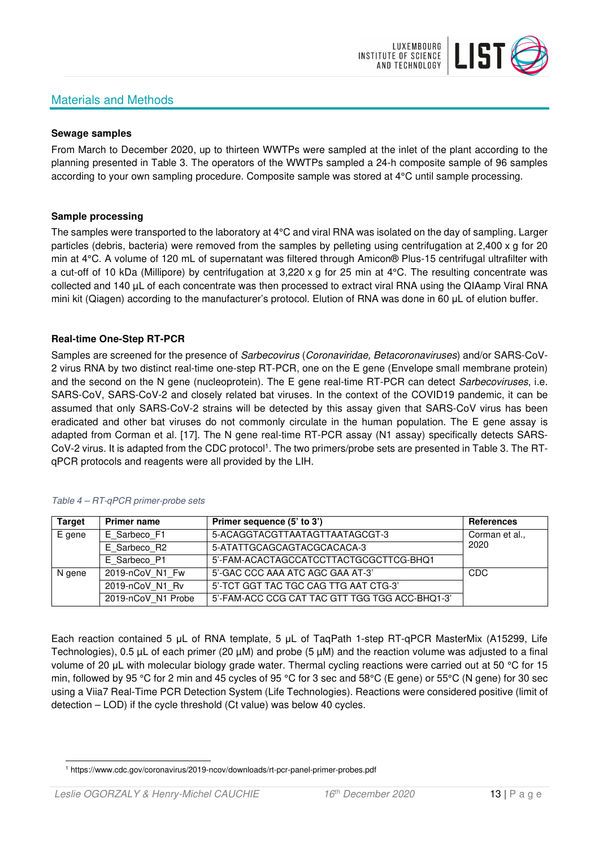# Materials and Methods



#### **Sewage samples**

From March to December 2020, up to thirteen WWTPs were sampled at the inlet of the plant according to the planning presented in Table 3. The operators of the WWTPs sampled a 24-h composite sample of 96 samples according to your own sampling procedure. Composite sample was stored at 4°C until sample processing.

#### **Sample processing**

The samples were transported to the laboratory at 4°C and viral RNA was isolated on the day of sampling. Larger particles (debris, bacteria) were removed from the samples by pelleting using centrifugation at 2,400 x g for 20 min at 4°C. A volume of 120 mL of supernatant was filtered through Amicon® Plus-15 centrifugal ultrafilter with a cut-off of 10 kDa (Millipore) by centrifugation at 3,220 x g for 25 min at 4°C. The resulting concentrate was collected and 140 µL of each concentrate was then processed to extract viral RNA using the QIAamp Viral RNA mini kit (Qiagen) according to the manufacturer's protocol. Elution of RNA was done in 60 μL of elution buffer.

### **Real-time One-Step RT-PCR**

Samples are screened for the presence of *Sarbecovirus (Coronaviridae, Betacoronaviruses*) and/or SARS-CoV-2 virus RNA by two distinct real-time one-step RT-PCR, one on the E gene (Envelope small membrane protein) and the second on the N gene (nucleoprotein). The E gene real-time RT-PCR can detect Sarbecoviruses, i.e. SARS-CoV, SARS-CoV-2 and closely related bat viruses. In the context of the COVID19 pandemic, it can be assumed that only SARS-CoV-2 strains will be detected by this assay given that SARS-CoV virus has been eradicated and other bat viruses do not commonly circulate in the human population. The E gene assay is adapted from Corman et al. [17]. The N gene real-time RT-PCR assay (N1 assay) specifically detects SARS-CoV-2 virus. It is adapted from the CDC protocol<sup>1</sup>. The two primers/probe sets are presented in Table 3. The RTqPCR protocols and reagents were all provided by the LIH.

| <b>Target</b> | <b>Primer name</b> | Primer sequence (5' to 3')                     | References     |
|---------------|--------------------|------------------------------------------------|----------------|
| E gene        | E Sarbeco F1       | 5-ACAGGTACGTTAATAGTTAATAGCGT-3                 | Corman et al., |
|               | E Sarbeco R2       | 5-ATATTGCAGCAGTACGCACACA-3                     | 2020           |
|               | E Sarbeco P1       | 5'-FAM-ACACTAGCCATCCTTACTGCGCTTCG-BHQ1         |                |
| N gene        | 2019-nCoV N1 Fw    | 5'-GAC CCC AAA ATC AGC GAA AT-3'               | CDC            |
|               | 2019-nCoV N1 Rv    | 5'-TCT GGT TAC TGC CAG TTG AAT CTG-3'          |                |
|               | 2019-nCoV N1 Probe | 5'-FAM-ACC CCG CAT TAC GTT TGG TGG ACC-BHQ1-3' |                |

#### Table 4 – RT-qPCR primer-probe sets

Each reaction contained 5 μL of RNA template, 5 μL of TaqPath 1-step RT-qPCR MasterMix (A15299, Life Technologies), 0.5 µL of each primer (20 µM) and probe (5 µM) and the reaction volume was adjusted to a final volume of 20 μL with molecular biology grade water. Thermal cycling reactions were carried out at 50 °C for 15 min, followed by 95 °C for 2 min and 45 cycles of 95 °C for 3 sec and 58°C (E gene) or 55°C (N gene) for 30 sec using a Viia7 Real-Time PCR Detection System (Life Technologies). Reactions were considered positive (limit of detection – LOD) if the cycle threshold (Ct value) was below 40 cycles.

<sup>1</sup> https://www.cdc.gov/coronavirus/2019-ncov/downloads/rt-pcr-panel-primer-probes.pdf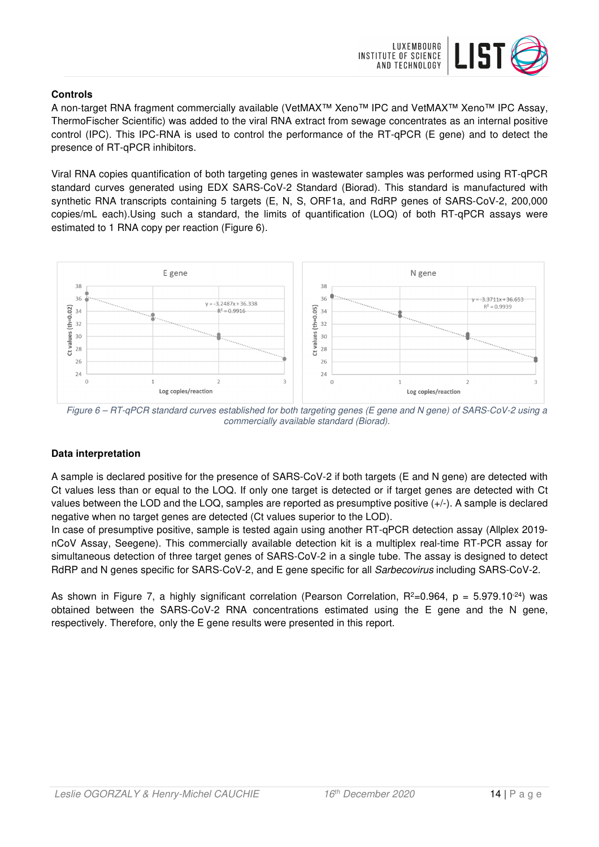

## **Controls**

A non-target RNA fragment commercially available (VetMAX™ Xeno™ IPC and VetMAX™ Xeno™ IPC Assay, ThermoFischer Scientific) was added to the viral RNA extract from sewage concentrates as an internal positive control (IPC). This IPC-RNA is used to control the performance of the RT-qPCR (E gene) and to detect the presence of RT-qPCR inhibitors.

Viral RNA copies quantification of both targeting genes in wastewater samples was performed using RT-qPCR standard curves generated using EDX SARS-CoV-2 Standard (Biorad). This standard is manufactured with synthetic RNA transcripts containing 5 targets (E, N, S, ORF1a, and RdRP genes of SARS-CoV-2, 200,000 copies/mL each).Using such a standard, the limits of quantification (LOQ) of both RT-qPCR assays were estimated to 1 RNA copy per reaction (Figure 6).



Figure 6 – RT-qPCR standard curves established for both targeting genes (E gene and N gene) of SARS-CoV-2 using a commercially available standard (Biorad).

# **Data interpretation**

A sample is declared positive for the presence of SARS-CoV-2 if both targets (E and N gene) are detected with Ct values less than or equal to the LOQ. If only one target is detected or if target genes are detected with Ct values between the LOD and the LOQ, samples are reported as presumptive positive (+/-). A sample is declared negative when no target genes are detected (Ct values superior to the LOD).

In case of presumptive positive, sample is tested again using another RT-qPCR detection assay (Allplex 2019 nCoV Assay, Seegene). This commercially available detection kit is a multiplex real-time RT-PCR assay for simultaneous detection of three target genes of SARS-CoV-2 in a single tube. The assay is designed to detect RdRP and N genes specific for SARS-CoV-2, and E gene specific for all Sarbecovirus including SARS-CoV-2.

As shown in Figure 7, a highly significant correlation (Pearson Correlation,  $R^2=0.964$ ,  $p = 5.979.10^{-24}$ ) was obtained between the SARS-CoV-2 RNA concentrations estimated using the E gene and the N gene, respectively. Therefore, only the E gene results were presented in this report.